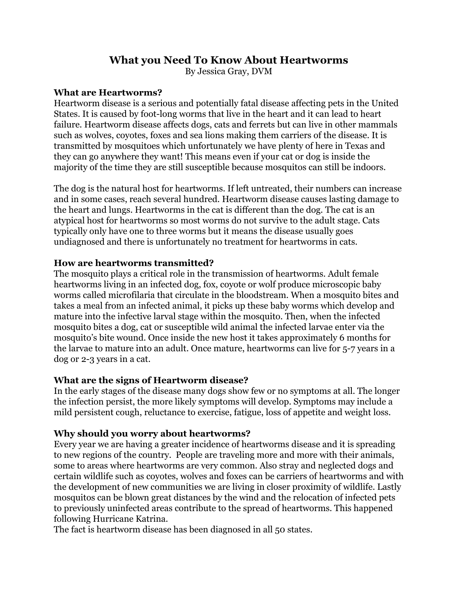# **What you Need To Know About Heartworms**

By Jessica Gray, DVM

### **What are Heartworms?**

Heartworm disease is a serious and potentially fatal disease affecting pets in the United States. It is caused by foot-long worms that live in the heart and it can lead to heart failure. Heartworm disease affects dogs, cats and ferrets but can live in other mammals such as wolves, coyotes, foxes and sea lions making them carriers of the disease. It is transmitted by mosquitoes which unfortunately we have plenty of here in Texas and they can go anywhere they want! This means even if your cat or dog is inside the majority of the time they are still susceptible because mosquitos can still be indoors.

The dog is the natural host for heartworms. If left untreated, their numbers can increase and in some cases, reach several hundred. Heartworm disease causes lasting damage to the heart and lungs. Heartworms in the cat is different than the dog. The cat is an atypical host for heartworms so most worms do not survive to the adult stage. Cats typically only have one to three worms but it means the disease usually goes undiagnosed and there is unfortunately no treatment for heartworms in cats.

#### **How are heartworms transmitted?**

The mosquito plays a critical role in the transmission of heartworms. Adult female heartworms living in an infected dog, fox, coyote or wolf produce microscopic baby worms called microfilaria that circulate in the bloodstream. When a mosquito bites and takes a meal from an infected animal, it picks up these baby worms which develop and mature into the infective larval stage within the mosquito. Then, when the infected mosquito bites a dog, cat or susceptible wild animal the infected larvae enter via the mosquito's bite wound. Once inside the new host it takes approximately 6 months for the larvae to mature into an adult. Once mature, heartworms can live for 5-7 years in a dog or 2-3 years in a cat.

### **What are the signs of Heartworm disease?**

In the early stages of the disease many dogs show few or no symptoms at all. The longer the infection persist, the more likely symptoms will develop. Symptoms may include a mild persistent cough, reluctance to exercise, fatigue, loss of appetite and weight loss.

### **Why should you worry about heartworms?**

Every year we are having a greater incidence of heartworms disease and it is spreading to new regions of the country. People are traveling more and more with their animals, some to areas where heartworms are very common. Also stray and neglected dogs and certain wildlife such as coyotes, wolves and foxes can be carriers of heartworms and with the development of new communities we are living in closer proximity of wildlife. Lastly mosquitos can be blown great distances by the wind and the relocation of infected pets to previously uninfected areas contribute to the spread of heartworms. This happened following Hurricane Katrina.

The fact is heartworm disease has been diagnosed in all 50 states.